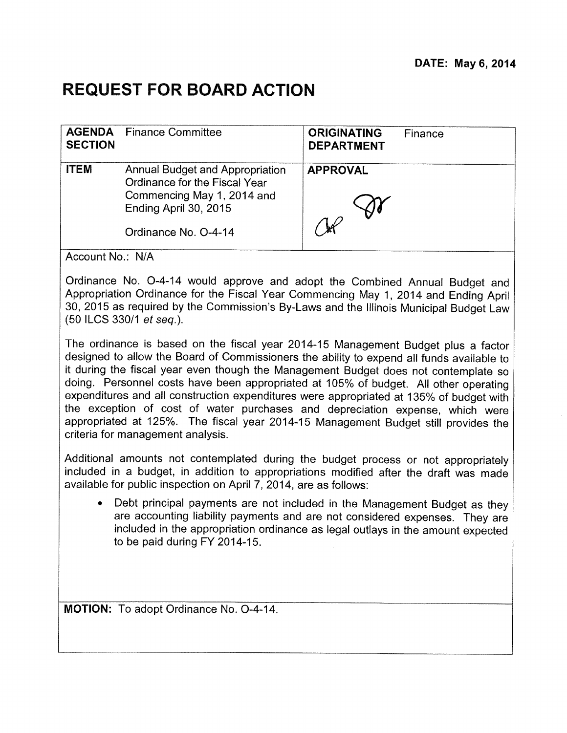## **REQUEST FOR BOARD ACTION**

| <b>SECTION</b>                                                                                                                                                 | <b>DEPARTMENT</b> |  |
|----------------------------------------------------------------------------------------------------------------------------------------------------------------|-------------------|--|
| <b>ITEM</b><br>Annual Budget and Appropriation<br>Ordinance for the Fiscal Year<br>Commencing May 1, 2014 and<br>Ending April 30, 2015<br>Ordinance No. O-4-14 | <b>APPROVAL</b>   |  |

Account No.: N/A

Ordinance No. 0-4-14 would approve and adopt the Combined Annual Budget and Appropriation Ordinance for the Fiscal Year Commencing May 1, 2014 and Ending April 30, 2015 as required by the Commission's By-Laws and the Illinois Municipal Budget Law (50 ILCS 330/1 et seq.).

The ordinance is based on the fiscal year 2014-15 Management Budget plus a factor designed to allow the Board of Commissioners the ability to expend all funds available to it during the fiscal year even though the Management Budget does not contemplate so doing. Personnel costs have been appropriated at 105% of budget. All other operating expenditures and all construction expenditures were appropriated at 135% of budget with the exception of cost of water purchases and depreciation expense, which were appropriated at 125%. The fiscal year 2014-15 Management Budget still provides the criteria for management analysis.

Additional amounts not contemplated during the budget process or not appropriately included in a budget, in addition to appropriations modified after the draft was made available for public inspection on April 7, 2014, are as follows:

• Debt principal payments are not included in the Management Budget as they are accounting liability payments and are not considered expenses. They are included in the appropriation ordinance as legal outlays in the amount expected to be paid during FY 2014-15.

**MOTION:** To adopt Ordinance No. 0-4-14.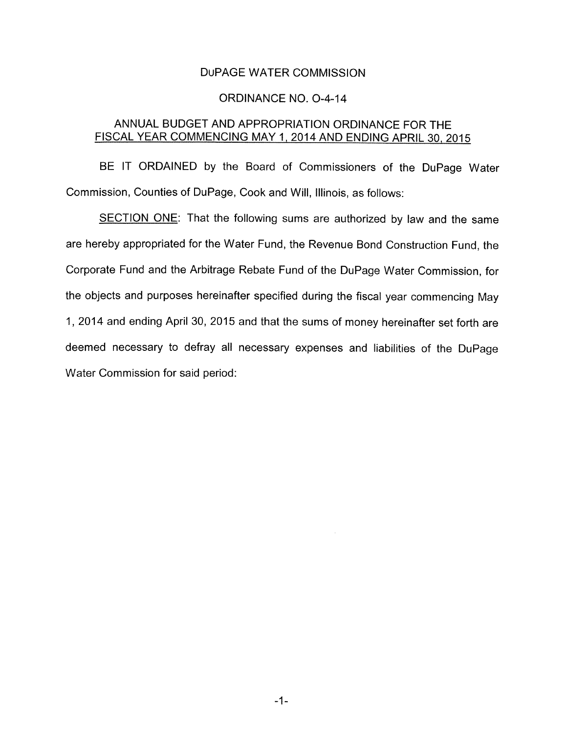## DUPAGE WATER COMMISSION

## ORDINANCE NO. 0-4-14

## ANNUAL BUDGET AND APPROPRIATION ORDINANCE FOR THE FISCAL YEAR COMMENCING MAY 1, 2014 AND ENDING APRIL 30, 2015

BE IT ORDAINED by the Board of Commissioners of the DuPage Water Commission, Counties of DuPage, Cook and Will, Illinois, as follows:

SECTION ONE: That the following sums are authorized by law and the same are hereby appropriated for the Water Fund, the Revenue Bond Construction Fund, the Corporate Fund and the Arbitrage Rebate Fund of the DuPage Water Commission, for the objects and purposes hereinafter specified during the fiscal year commencing May 1, 2014 and ending April 30, 2015 and that the sums of money hereinafter set forth are deemed necessary to defray all necessary expenses and liabilities of the DuPage Water Commission for said period: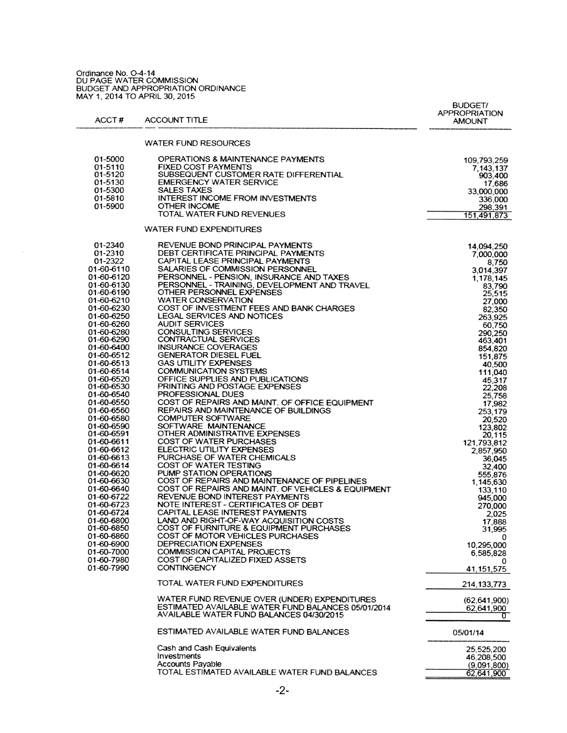Ordinance No. O-4-14<br>DU PAGE WATER COMMISSION<br>BUDGET AND APPROPRIATION ORDINANCE<br>MAY 1, 2014 TO APRIL 30, 2015

 $\sim$   $\sim$ 

| ACCT#                    | <b>ACCOUNT TITLE</b>                                                        | <b>BUDGET/</b><br><b>APPROPRIATION</b><br><b>AMOUNT</b> |
|--------------------------|-----------------------------------------------------------------------------|---------------------------------------------------------|
|                          | WATER FUND RESOURCES                                                        |                                                         |
| 01-5000                  | OPERATIONS & MAINTENANCE PAYMENTS                                           | 109,793,259                                             |
| 01-5110                  | <b>FIXED COST PAYMENTS</b>                                                  | 7,143,137                                               |
| 01-5120                  | SUBSEQUENT CUSTOMER RATE DIFFERENTIAL                                       | 903,400                                                 |
| 01-5130<br>01-5300       | <b>EMERGENCY WATER SERVICE</b><br><b>SALES TAXES</b>                        | 17.686                                                  |
| 01-5810                  | INTEREST INCOME FROM INVESTMENTS                                            | 33,000,000<br>336,000                                   |
| 01-5900                  | <b>OTHER INCOME</b>                                                         | 298,391                                                 |
|                          | TOTAL WATER FUND REVENUES                                                   | 151,491,873                                             |
|                          | WATER FUND EXPENDITURES                                                     |                                                         |
| 01-2340                  | REVENUE BOND PRINCIPAL PAYMENTS                                             | 14.094.250                                              |
| 01-2310                  | DEBT CERTIFICATE PRINCIPAL PAYMENTS                                         | 7,000,000                                               |
| 01-2322<br>01-60-6110    | CAPITAL LEASE PRINCIPAL PAYMENTS<br>SALARIES OF COMMISSION PERSONNEL        | 8,750                                                   |
| 01-60-6120               | PERSONNEL - PENSION, INSURANCE AND TAXES                                    | 3,014,397<br>1,178,145                                  |
| 01-60-6130               | PERSONNEL - TRAINING, DEVELOPMENT AND TRAVEL                                | 83.790                                                  |
| 01-60-6190               | OTHER PERSONNEL EXPENSES                                                    | 25,515                                                  |
| 01-60-6210               | <b>WATER CONSERVATION</b>                                                   | 27,000                                                  |
| 01-60-6230               | COST OF INVESTMENT FEES AND BANK CHARGES                                    | 82,350                                                  |
| 01-60-6250<br>01-60-6260 | <b>LEGAL SERVICES AND NOTICES</b><br><b>AUDIT SERVICES</b>                  | 263.925                                                 |
| 01-60-6280               | <b>CONSULTING SERVICES</b>                                                  | 60.750<br>290.250                                       |
| 01-60-6290               | CONTRACTUAL SERVICES                                                        | 463,401                                                 |
| 01-60-6400               | <b>INSURANCE COVERAGES</b>                                                  | 854,820                                                 |
| 01-60-6512               | <b>GENERATOR DIESEL FUEL</b>                                                | 151,875                                                 |
| 01-60-6513               | <b>GAS UTILITY EXPENSES</b>                                                 | 40,500                                                  |
| 01-60-6514<br>01-60-6520 | <b>COMMUNICATION SYSTEMS</b><br>OFFICE SUPPLIES AND PUBLICATIONS            | 111,040                                                 |
| 01-60-6530               | PRINTING AND POSTAGE EXPENSES                                               | 45.317<br>22.208                                        |
| 01-60-6540               | <b>PROFESSIONAL DUES</b>                                                    | 25,758                                                  |
| 01-60-6550               | COST OF REPAIRS AND MAINT. OF OFFICE EQUIPMENT.                             | 17,982                                                  |
| 01-60-6560               | REPAIRS AND MAINTENANCE OF BUILDINGS                                        | 253.179                                                 |
| 01-60-6580               | <b>COMPUTER SOFTWARE</b><br>SOFTWARE MAINTENANCE                            | 20,520                                                  |
| 01-60-6590<br>01-60-6591 | OTHER ADMINISTRATIVE EXPENSES                                               | 123,802<br>20,115                                       |
| 01-60-6611               | COST OF WATER PURCHASES                                                     | 121,793,812                                             |
| 01-60-6612               | ELECTRIC UTILITY EXPENSES                                                   | 2,857,950                                               |
| 01-60-6613               | PURCHASE OF WATER CHEMICALS                                                 | 36.045                                                  |
| 01-60-6614               | COST OF WATER TESTING                                                       | 32,400                                                  |
| 01-60-6620<br>01-60-6630 | PUMP STATION OPERATIONS<br>COST OF REPAIRS AND MAINTENANCE OF PIPELINES     | 555.876                                                 |
| 01-60-6640               | COST OF REPAIRS AND MAINT. OF VEHICLES & EQUIPMENT                          | 1,145,630<br>133,110                                    |
| 01-60-6722               | REVENUE BOND INTEREST PAYMENTS                                              | 945,000                                                 |
| 01-60-6723               | NOTE INTEREST - CERTIFICATES OF DEBT                                        | 270,000                                                 |
| 01-60-6724               | CAPITAL LEASE INTEREST PAYMENTS                                             | 2,025                                                   |
| 01-60-6800               | LAND AND RIGHT-OF-WAY ACQUISITION COSTS                                     | 17,888                                                  |
| 01-60-6850<br>01-60-6860 | COST OF FURNITURE & EQUIPMENT PURCHASES<br>COST OF MOTOR VEHICLES PURCHASES | 31.995                                                  |
| 01-60-6900               | DEPRECIATION EXPENSES                                                       | 0.<br>10,295,000                                        |
| 01-60-7000               | COMMISSION CAPITAL PROJECTS                                                 | 6,585,828                                               |
| 01-60-7980               | COST OF CAPITALIZED FIXED ASSETS                                            | 0                                                       |
| 01-60-7990               | <b>CONTINGENCY</b>                                                          | 41,151,575                                              |
|                          | TOTAL WATER FUND EXPENDITURES                                               | 214,133,773                                             |
|                          | WATER FUND REVENUE OVER (UNDER) EXPENDITURES                                | (62, 641, 900)                                          |
|                          | ESTIMATED AVAILABLE WATER FUND BALANCES 05/01/2014                          | 62,641,900                                              |
|                          | AVAILABLE WATER FUND BALANCES 04/30/2015                                    | 0.                                                      |
|                          | ESTIMATED AVAILABLE WATER FUND BALANCES                                     | 05/01/14                                                |
|                          | Cash and Cash Equivalents                                                   | 25,525,200                                              |
|                          | Investments                                                                 | 46,208,500                                              |
|                          | <b>Accounts Payable</b>                                                     | (9,091,800)                                             |
|                          | TOTAL ESTIMATED AVAILABLE WATER FUND BALANCES                               | 62.641.900                                              |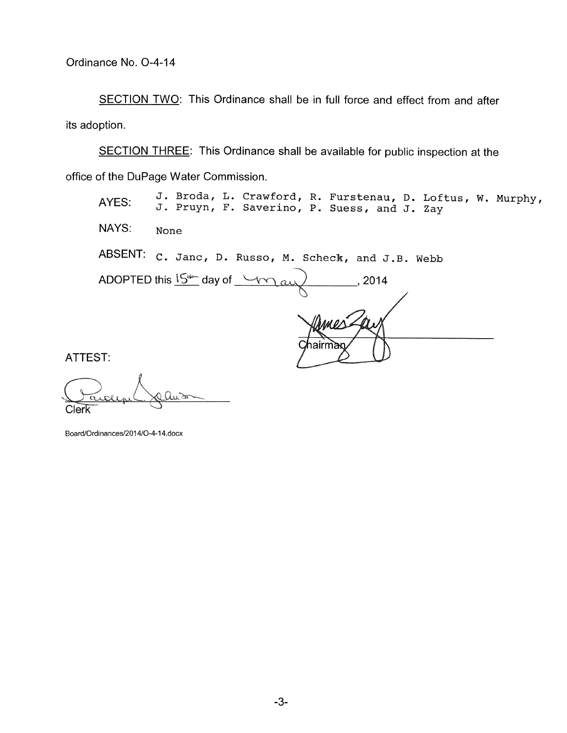SECTION TWO: This Ordinance shall be in full force and effect from and after its adoption.

SECTION THREE: This Ordinance shall be available for public inspection at the office of the DuPage Water Commission.

AYES: J. Broda, L. Crawford, R. Furstenau, D. Loftus, W. Murphy, **<sup>J</sup> . Pruyn, F. Saverino , P. Suess, and J . Zay**  NAYS: **None**  ABSENT: C. Janc, D. Russo, M. Scheck, and J.B. Webb ADOPTED this  $15^{4}$  day of  $\rightarrow$ , 2014  $G_{\lambda}$ airn

ATTEST:

Clerk

Board/Ordinances/2014/O-4-14.docx